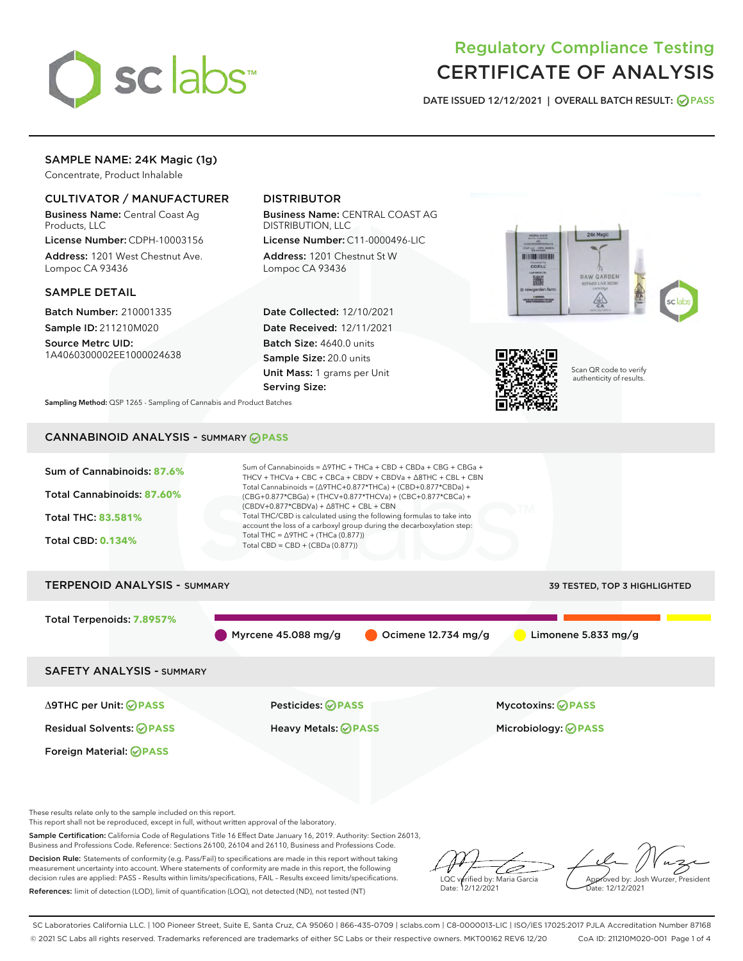

# Regulatory Compliance Testing CERTIFICATE OF ANALYSIS

DATE ISSUED 12/12/2021 | OVERALL BATCH RESULT: @ PASS

# SAMPLE NAME: 24K Magic (1g)

Concentrate, Product Inhalable

# CULTIVATOR / MANUFACTURER

Business Name: Central Coast Ag Products, LLC

License Number: CDPH-10003156 Address: 1201 West Chestnut Ave. Lompoc CA 93436

#### SAMPLE DETAIL

Batch Number: 210001335 Sample ID: 211210M020

Source Metrc UID: 1A4060300002EE1000024638

# DISTRIBUTOR

Business Name: CENTRAL COAST AG DISTRIBUTION, LLC

License Number: C11-0000496-LIC Address: 1201 Chestnut St W Lompoc CA 93436

Date Collected: 12/10/2021 Date Received: 12/11/2021 Batch Size: 4640.0 units Sample Size: 20.0 units Unit Mass: 1 grams per Unit Serving Size:





Scan QR code to verify authenticity of results.

Sampling Method: QSP 1265 - Sampling of Cannabis and Product Batches

# CANNABINOID ANALYSIS - SUMMARY **PASS**



These results relate only to the sample included on this report.

This report shall not be reproduced, except in full, without written approval of the laboratory.

Sample Certification: California Code of Regulations Title 16 Effect Date January 16, 2019. Authority: Section 26013, Business and Professions Code. Reference: Sections 26100, 26104 and 26110, Business and Professions Code.

Decision Rule: Statements of conformity (e.g. Pass/Fail) to specifications are made in this report without taking measurement uncertainty into account. Where statements of conformity are made in this report, the following decision rules are applied: PASS – Results within limits/specifications, FAIL – Results exceed limits/specifications. References: limit of detection (LOD), limit of quantification (LOQ), not detected (ND), not tested (NT)

ىر LQC verified by: Maria Garcia Date: 12/12/2021

Approved by: Josh Wurzer, President ate: 12/12/2021

SC Laboratories California LLC. | 100 Pioneer Street, Suite E, Santa Cruz, CA 95060 | 866-435-0709 | sclabs.com | C8-0000013-LIC | ISO/IES 17025:2017 PJLA Accreditation Number 87168 © 2021 SC Labs all rights reserved. Trademarks referenced are trademarks of either SC Labs or their respective owners. MKT00162 REV6 12/20 CoA ID: 211210M020-001 Page 1 of 4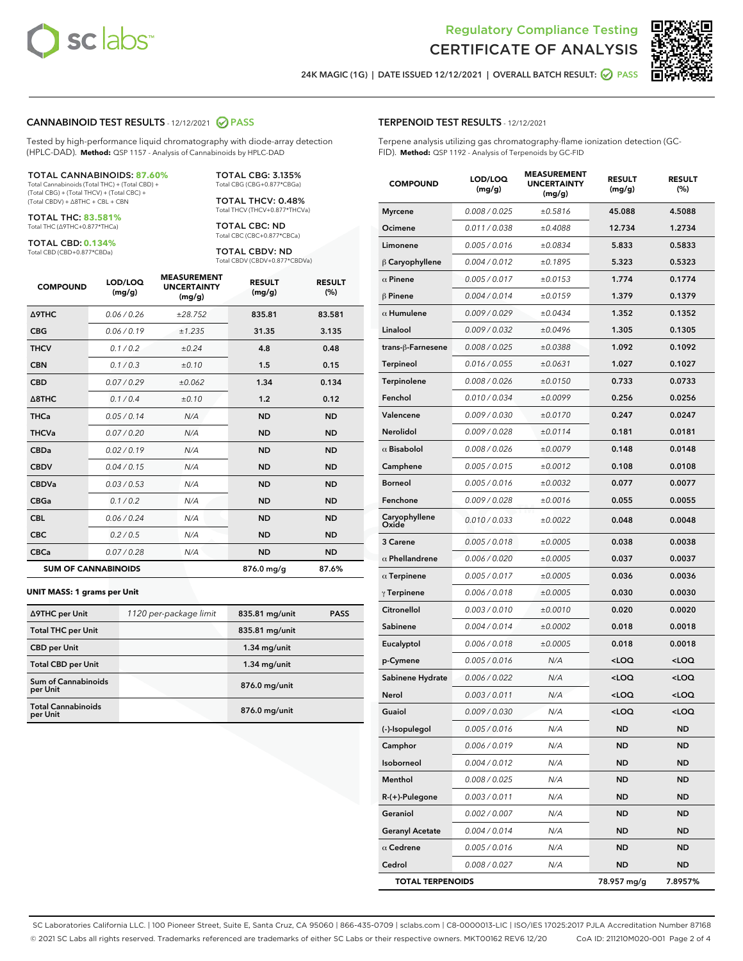



24K MAGIC (1G) | DATE ISSUED 12/12/2021 | OVERALL BATCH RESULT: ☑ PASS

#### CANNABINOID TEST RESULTS - 12/12/2021 2 PASS

Tested by high-performance liquid chromatography with diode-array detection (HPLC-DAD). **Method:** QSP 1157 - Analysis of Cannabinoids by HPLC-DAD

#### TOTAL CANNABINOIDS: **87.60%**

Total Cannabinoids (Total THC) + (Total CBD) + (Total CBG) + (Total THCV) + (Total CBC) + (Total CBDV) + ∆8THC + CBL + CBN

TOTAL THC: **83.581%** Total THC (∆9THC+0.877\*THCa)

TOTAL CBD: **0.134%**

Total CBD (CBD+0.877\*CBDa)

TOTAL CBG: 3.135% Total CBG (CBG+0.877\*CBGa)

TOTAL THCV: 0.48% Total THCV (THCV+0.877\*THCVa)

TOTAL CBC: ND Total CBC (CBC+0.877\*CBCa)

TOTAL CBDV: ND Total CBDV (CBDV+0.877\*CBDVa)

| <b>COMPOUND</b>  | LOD/LOQ<br>(mg/g)          | <b>MEASUREMENT</b><br><b>UNCERTAINTY</b><br>(mg/g) | <b>RESULT</b><br>(mg/g) | <b>RESULT</b><br>(%) |
|------------------|----------------------------|----------------------------------------------------|-------------------------|----------------------|
| <b>A9THC</b>     | 0.06 / 0.26                | ±28.752                                            | 835.81                  | 83.581               |
| <b>CBG</b>       | 0.06/0.19                  | ±1.235                                             | 31.35                   | 3.135                |
| <b>THCV</b>      | 0.1 / 0.2                  | ±0.24                                              | 4.8                     | 0.48                 |
| <b>CBN</b>       | 0.1/0.3                    | ±0.10                                              | 1.5                     | 0.15                 |
| <b>CBD</b>       | 0.07/0.29                  | ±0.062                                             | 1.34                    | 0.134                |
| $\triangle$ 8THC | 0.1/0.4                    | ±0.10                                              | 1.2                     | 0.12                 |
| <b>THCa</b>      | 0.05/0.14                  | N/A                                                | <b>ND</b>               | <b>ND</b>            |
| <b>THCVa</b>     | 0.07/0.20                  | N/A                                                | <b>ND</b>               | <b>ND</b>            |
| <b>CBDa</b>      | 0.02/0.19                  | N/A                                                | <b>ND</b>               | <b>ND</b>            |
| <b>CBDV</b>      | 0.04/0.15                  | N/A                                                | <b>ND</b>               | <b>ND</b>            |
| <b>CBDVa</b>     | 0.03/0.53                  | N/A                                                | <b>ND</b>               | <b>ND</b>            |
| <b>CBGa</b>      | 0.1/0.2                    | N/A                                                | <b>ND</b>               | <b>ND</b>            |
| <b>CBL</b>       | 0.06 / 0.24                | N/A                                                | <b>ND</b>               | <b>ND</b>            |
| <b>CBC</b>       | 0.2 / 0.5                  | N/A                                                | <b>ND</b>               | <b>ND</b>            |
| <b>CBCa</b>      | 0.07 / 0.28                | N/A                                                | <b>ND</b>               | <b>ND</b>            |
|                  | <b>SUM OF CANNABINOIDS</b> |                                                    | 876.0 mg/g              | 87.6%                |

#### **UNIT MASS: 1 grams per Unit**

| ∆9THC per Unit                        | 1120 per-package limit | 835.81 mg/unit  | <b>PASS</b> |
|---------------------------------------|------------------------|-----------------|-------------|
| <b>Total THC per Unit</b>             |                        | 835.81 mg/unit  |             |
| <b>CBD</b> per Unit                   |                        | $1.34$ mg/unit  |             |
| <b>Total CBD per Unit</b>             |                        | $1.34$ mg/unit  |             |
| Sum of Cannabinoids<br>per Unit       |                        | 876.0 mg/unit   |             |
| <b>Total Cannabinoids</b><br>per Unit |                        | $876.0$ mg/unit |             |

# TERPENOID TEST RESULTS - 12/12/2021

Terpene analysis utilizing gas chromatography-flame ionization detection (GC-FID). **Method:** QSP 1192 - Analysis of Terpenoids by GC-FID

| <b>COMPOUND</b>         | LOD/LOQ<br>(mg/g) | <b>MEASUREMENT</b><br><b>UNCERTAINTY</b><br>(mg/g) | <b>RESULT</b><br>(mg/g)                         | <b>RESULT</b><br>(%) |
|-------------------------|-------------------|----------------------------------------------------|-------------------------------------------------|----------------------|
| Myrcene                 | 0.008 / 0.025     | ±0.5816                                            | 45.088                                          | 4.5088               |
| Ocimene                 | 0.011/0.038       | ±0.4088                                            | 12.734                                          | 1.2734               |
| Limonene                | 0.005 / 0.016     | ±0.0834                                            | 5.833                                           | 0.5833               |
| $\upbeta$ Caryophyllene | 0.004 / 0.012     | ±0.1895                                            | 5.323                                           | 0.5323               |
| $\alpha$ Pinene         | 0.005 / 0.017     | ±0.0153                                            | 1.774                                           | 0.1774               |
| <b>B</b> Pinene         | 0.004 / 0.014     | ±0.0159                                            | 1.379                                           | 0.1379               |
| $\alpha$ Humulene       | 0.009/0.029       | ±0.0434                                            | 1.352                                           | 0.1352               |
| Linalool                | 0.009 / 0.032     | ±0.0496                                            | 1.305                                           | 0.1305               |
| trans-ß-Farnesene       | 0.008 / 0.025     | ±0.0388                                            | 1.092                                           | 0.1092               |
| Terpineol               | 0.016 / 0.055     | ±0.0631                                            | 1.027                                           | 0.1027               |
| Terpinolene             | 0.008 / 0.026     | ±0.0150                                            | 0.733                                           | 0.0733               |
| Fenchol                 | 0.010 / 0.034     | ±0.0099                                            | 0.256                                           | 0.0256               |
| Valencene               | 0.009 / 0.030     | ±0.0170                                            | 0.247                                           | 0.0247               |
| Nerolidol               | 0.009/0.028       | ±0.0114                                            | 0.181                                           | 0.0181               |
| $\alpha$ Bisabolol      | 0.008 / 0.026     | ±0.0079                                            | 0.148                                           | 0.0148               |
| Camphene                | 0.005 / 0.015     | ±0.0012                                            | 0.108                                           | 0.0108               |
| Borneol                 | 0.005 / 0.016     | ±0.0032                                            | 0.077                                           | 0.0077               |
| Fenchone                | 0.009 / 0.028     | ±0.0016                                            | 0.055                                           | 0.0055               |
| Caryophyllene<br>Oxide  | 0.010 / 0.033     | ±0.0022                                            | 0.048                                           | 0.0048               |
| <b>3 Carene</b>         | 0.005 / 0.018     | ±0.0005                                            | 0.038                                           | 0.0038               |
| $\alpha$ Phellandrene   | 0.006 / 0.020     | ±0.0005                                            | 0.037                                           | 0.0037               |
| $\alpha$ Terpinene      | 0.005 / 0.017     | ±0.0005                                            | 0.036                                           | 0.0036               |
| $\gamma$ Terpinene      | 0.006 / 0.018     | ±0.0005                                            | 0.030                                           | 0.0030               |
| Citronellol             | 0.003 / 0.010     | ±0.0010                                            | 0.020                                           | 0.0020               |
| Sabinene                | 0.004 / 0.014     | ±0.0002                                            | 0.018                                           | 0.0018               |
| Eucalyptol              | 0.006 / 0.018     | ±0.0005                                            | 0.018                                           | 0.0018               |
| p-Cymene                | 0.005 / 0.016     | N/A                                                | <loq< th=""><th><loq< th=""></loq<></th></loq<> | <loq< th=""></loq<>  |
| Sabinene Hydrate        | 0.006 / 0.022     | N/A                                                | <loq< th=""><th><loq< th=""></loq<></th></loq<> | <loq< th=""></loq<>  |
| Nerol                   | 0.003 / 0.011     | N/A                                                | <loq< th=""><th><loq< th=""></loq<></th></loq<> | <loq< th=""></loq<>  |
| Guaiol                  | 0.009 / 0.030     | N/A                                                | <loq< th=""><th><loq< th=""></loq<></th></loq<> | <loq< th=""></loq<>  |
| (-)-Isopulegol          | 0.005 / 0.016     | N/A                                                | ND                                              | ND                   |
| Camphor                 | 0.006 / 0.019     | N/A                                                | ND                                              | ND                   |
| Isoborneol              | 0.004 / 0.012     | N/A                                                | ND                                              | ND                   |
| Menthol                 | 0.008 / 0.025     | N/A                                                | ND                                              | ND                   |
| R-(+)-Pulegone          | 0.003 / 0.011     | N/A                                                | ND                                              | ND                   |
| Geraniol                | 0.002 / 0.007     | N/A                                                | ND                                              | ND                   |
| <b>Geranyl Acetate</b>  | 0.004 / 0.014     | N/A                                                | ND                                              | ND                   |
| $\alpha$ Cedrene        | 0.005 / 0.016     | N/A                                                | ND                                              | ND                   |
| Cedrol                  | 0.008 / 0.027     | N/A                                                | ND                                              | ND                   |
| <b>TOTAL TERPENOIDS</b> |                   |                                                    | 78.957 mg/g                                     | 7.8957%              |

SC Laboratories California LLC. | 100 Pioneer Street, Suite E, Santa Cruz, CA 95060 | 866-435-0709 | sclabs.com | C8-0000013-LIC | ISO/IES 17025:2017 PJLA Accreditation Number 87168 © 2021 SC Labs all rights reserved. Trademarks referenced are trademarks of either SC Labs or their respective owners. MKT00162 REV6 12/20 CoA ID: 211210M020-001 Page 2 of 4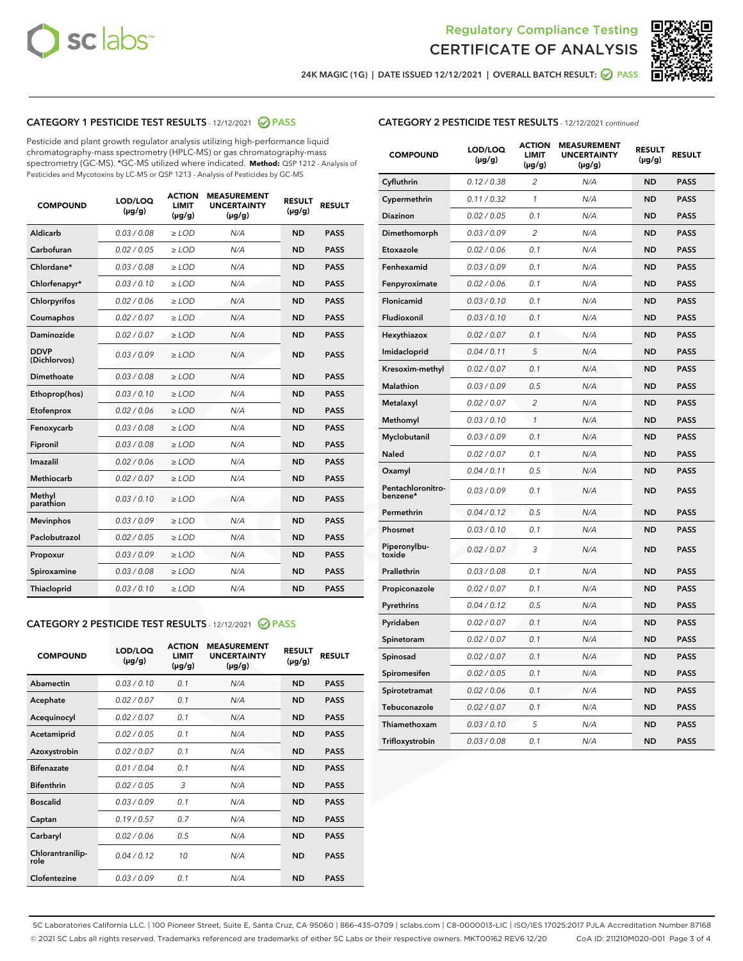



24K MAGIC (1G) | DATE ISSUED 12/12/2021 | OVERALL BATCH RESULT: ● PASS

# CATEGORY 1 PESTICIDE TEST RESULTS - 12/12/2021 2 PASS

Pesticide and plant growth regulator analysis utilizing high-performance liquid chromatography-mass spectrometry (HPLC-MS) or gas chromatography-mass spectrometry (GC-MS). \*GC-MS utilized where indicated. **Method:** QSP 1212 - Analysis of Pesticides and Mycotoxins by LC-MS or QSP 1213 - Analysis of Pesticides by GC-MS

| <b>COMPOUND</b>             | LOD/LOQ<br>$(\mu g/g)$ | <b>ACTION</b><br><b>LIMIT</b><br>$(\mu g/g)$ | <b>MEASUREMENT</b><br><b>UNCERTAINTY</b><br>$(\mu g/g)$ | <b>RESULT</b><br>$(\mu g/g)$ | <b>RESULT</b> |
|-----------------------------|------------------------|----------------------------------------------|---------------------------------------------------------|------------------------------|---------------|
| Aldicarb                    | 0.03/0.08              | $>$ LOD                                      | N/A                                                     | <b>ND</b>                    | <b>PASS</b>   |
| Carbofuran                  | 0.02 / 0.05            | $\ge$ LOD                                    | N/A                                                     | <b>ND</b>                    | <b>PASS</b>   |
| Chlordane*                  | 0.03/0.08              | $>$ LOD                                      | N/A                                                     | <b>ND</b>                    | <b>PASS</b>   |
| Chlorfenapyr*               | 0.03/0.10              | $\geq$ LOD                                   | N/A                                                     | <b>ND</b>                    | <b>PASS</b>   |
| Chlorpyrifos                | 0.02 / 0.06            | $\ge$ LOD                                    | N/A                                                     | <b>ND</b>                    | <b>PASS</b>   |
| Coumaphos                   | 0.02 / 0.07            | $\ge$ LOD                                    | N/A                                                     | <b>ND</b>                    | <b>PASS</b>   |
| Daminozide                  | 0.02 / 0.07            | $\ge$ LOD                                    | N/A                                                     | <b>ND</b>                    | <b>PASS</b>   |
| <b>DDVP</b><br>(Dichlorvos) | 0.03/0.09              | $\ge$ LOD                                    | N/A                                                     | <b>ND</b>                    | <b>PASS</b>   |
| <b>Dimethoate</b>           | 0.03 / 0.08            | $\ge$ LOD                                    | N/A                                                     | <b>ND</b>                    | <b>PASS</b>   |
| Ethoprop(hos)               | 0.03/0.10              | $\ge$ LOD                                    | N/A                                                     | <b>ND</b>                    | <b>PASS</b>   |
| Etofenprox                  | 0.02 / 0.06            | $\ge$ LOD                                    | N/A                                                     | <b>ND</b>                    | <b>PASS</b>   |
| Fenoxycarb                  | 0.03 / 0.08            | $\ge$ LOD                                    | N/A                                                     | <b>ND</b>                    | <b>PASS</b>   |
| Fipronil                    | 0.03/0.08              | $>$ LOD                                      | N/A                                                     | <b>ND</b>                    | <b>PASS</b>   |
| Imazalil                    | 0.02 / 0.06            | $\ge$ LOD                                    | N/A                                                     | <b>ND</b>                    | <b>PASS</b>   |
| Methiocarb                  | 0.02 / 0.07            | $\ge$ LOD                                    | N/A                                                     | <b>ND</b>                    | <b>PASS</b>   |
| Methyl<br>parathion         | 0.03/0.10              | $\ge$ LOD                                    | N/A                                                     | <b>ND</b>                    | <b>PASS</b>   |
| <b>Mevinphos</b>            | 0.03/0.09              | $\ge$ LOD                                    | N/A                                                     | <b>ND</b>                    | <b>PASS</b>   |
| Paclobutrazol               | 0.02 / 0.05            | $>$ LOD                                      | N/A                                                     | <b>ND</b>                    | <b>PASS</b>   |
| Propoxur                    | 0.03/0.09              | $\ge$ LOD                                    | N/A                                                     | <b>ND</b>                    | <b>PASS</b>   |
| Spiroxamine                 | 0.03 / 0.08            | $\ge$ LOD                                    | N/A                                                     | <b>ND</b>                    | <b>PASS</b>   |
| Thiacloprid                 | 0.03/0.10              | $\ge$ LOD                                    | N/A                                                     | <b>ND</b>                    | <b>PASS</b>   |

#### CATEGORY 2 PESTICIDE TEST RESULTS - 12/12/2021 @ PASS

| <b>COMPOUND</b>          | LOD/LOO<br>$(\mu g/g)$ | <b>ACTION</b><br>LIMIT<br>$(\mu g/g)$ | <b>MEASUREMENT</b><br><b>UNCERTAINTY</b><br>$(\mu g/g)$ | <b>RESULT</b><br>$(\mu g/g)$ | <b>RESULT</b> |  |
|--------------------------|------------------------|---------------------------------------|---------------------------------------------------------|------------------------------|---------------|--|
| Abamectin                | 0.03/0.10              | 0.1                                   | N/A                                                     | <b>ND</b>                    | <b>PASS</b>   |  |
| Acephate                 | 0.02/0.07              | 0.1                                   | N/A                                                     | <b>ND</b>                    | <b>PASS</b>   |  |
| Acequinocyl              | 0.02/0.07              | 0.1                                   | N/A                                                     | <b>ND</b>                    | <b>PASS</b>   |  |
| Acetamiprid              | 0.02/0.05              | 0.1                                   | N/A                                                     | <b>ND</b>                    | <b>PASS</b>   |  |
| Azoxystrobin             | 0.02/0.07              | 0.1                                   | N/A                                                     | <b>ND</b>                    | <b>PASS</b>   |  |
| <b>Bifenazate</b>        | 0.01 / 0.04            | 0.1                                   | N/A                                                     | <b>ND</b>                    | <b>PASS</b>   |  |
| <b>Bifenthrin</b>        | 0.02/0.05              | 3                                     | N/A                                                     | <b>ND</b>                    | <b>PASS</b>   |  |
| <b>Boscalid</b>          | 0.03/0.09              | 0.1                                   | N/A                                                     | <b>ND</b>                    | <b>PASS</b>   |  |
| Captan                   | 0.19/0.57              | 0.7                                   | N/A                                                     | <b>ND</b>                    | <b>PASS</b>   |  |
| Carbaryl                 | 0.02/0.06              | 0.5                                   | N/A                                                     | <b>ND</b>                    | <b>PASS</b>   |  |
| Chlorantranilip-<br>role | 0.04/0.12              | 10                                    | N/A                                                     | <b>ND</b>                    | <b>PASS</b>   |  |
| Clofentezine             | 0.03/0.09              | 0.1                                   | N/A                                                     | <b>ND</b>                    | <b>PASS</b>   |  |

| <b>CATEGORY 2 PESTICIDE TEST RESULTS</b> - 12/12/2021 continued |  |
|-----------------------------------------------------------------|--|
|-----------------------------------------------------------------|--|

| <b>COMPOUND</b>               | LOD/LOQ<br>(µg/g) | <b>ACTION</b><br>LIMIT<br>$(\mu g/g)$ | <b>MEASUREMENT</b><br><b>UNCERTAINTY</b><br>$(\mu g/g)$ | <b>RESULT</b><br>(µg/g) | <b>RESULT</b> |
|-------------------------------|-------------------|---------------------------------------|---------------------------------------------------------|-------------------------|---------------|
| Cyfluthrin                    | 0.12 / 0.38       | 2                                     | N/A                                                     | <b>ND</b>               | <b>PASS</b>   |
| Cypermethrin                  | 0.11 / 0.32       | $\mathcal{I}$                         | N/A                                                     | <b>ND</b>               | <b>PASS</b>   |
| Diazinon                      | 0.02 / 0.05       | 0.1                                   | N/A                                                     | <b>ND</b>               | <b>PASS</b>   |
| Dimethomorph                  | 0.03 / 0.09       | 2                                     | N/A                                                     | <b>ND</b>               | <b>PASS</b>   |
| Etoxazole                     | 0.02 / 0.06       | 0.1                                   | N/A                                                     | <b>ND</b>               | <b>PASS</b>   |
| Fenhexamid                    | 0.03 / 0.09       | 0.1                                   | N/A                                                     | <b>ND</b>               | <b>PASS</b>   |
| Fenpyroximate                 | 0.02 / 0.06       | 0.1                                   | N/A                                                     | <b>ND</b>               | <b>PASS</b>   |
| Flonicamid                    | 0.03 / 0.10       | 0.1                                   | N/A                                                     | <b>ND</b>               | <b>PASS</b>   |
| Fludioxonil                   | 0.03 / 0.10       | 0.1                                   | N/A                                                     | <b>ND</b>               | <b>PASS</b>   |
| Hexythiazox                   | 0.02 / 0.07       | 0.1                                   | N/A                                                     | <b>ND</b>               | <b>PASS</b>   |
| Imidacloprid                  | 0.04 / 0.11       | 5                                     | N/A                                                     | <b>ND</b>               | <b>PASS</b>   |
| Kresoxim-methyl               | 0.02 / 0.07       | 0.1                                   | N/A                                                     | <b>ND</b>               | <b>PASS</b>   |
| Malathion                     | 0.03 / 0.09       | 0.5                                   | N/A                                                     | <b>ND</b>               | <b>PASS</b>   |
| Metalaxyl                     | 0.02 / 0.07       | $\overline{c}$                        | N/A                                                     | <b>ND</b>               | <b>PASS</b>   |
| Methomyl                      | 0.03 / 0.10       | $\mathcal{I}$                         | N/A                                                     | <b>ND</b>               | <b>PASS</b>   |
| Myclobutanil                  | 0.03 / 0.09       | 0.1                                   | N/A                                                     | <b>ND</b>               | <b>PASS</b>   |
| Naled                         | 0.02 / 0.07       | 0.1                                   | N/A                                                     | <b>ND</b>               | <b>PASS</b>   |
| Oxamyl                        | 0.04 / 0.11       | 0.5                                   | N/A                                                     | <b>ND</b>               | <b>PASS</b>   |
| Pentachloronitro-<br>benzene* | 0.03/0.09         | 0.1                                   | N/A                                                     | <b>ND</b>               | <b>PASS</b>   |
| Permethrin                    | 0.04 / 0.12       | 0.5                                   | N/A                                                     | <b>ND</b>               | <b>PASS</b>   |
| Phosmet                       | 0.03 / 0.10       | 0.1                                   | N/A                                                     | <b>ND</b>               | <b>PASS</b>   |
| Piperonylbu-<br>toxide        | 0.02 / 0.07       | 3                                     | N/A                                                     | <b>ND</b>               | <b>PASS</b>   |
| Prallethrin                   | 0.03 / 0.08       | 0.1                                   | N/A                                                     | <b>ND</b>               | <b>PASS</b>   |
| Propiconazole                 | 0.02 / 0.07       | 0.1                                   | N/A                                                     | <b>ND</b>               | <b>PASS</b>   |
| Pyrethrins                    | 0.04 / 0.12       | 0.5                                   | N/A                                                     | <b>ND</b>               | <b>PASS</b>   |
| Pyridaben                     | 0.02 / 0.07       | 0.1                                   | N/A                                                     | <b>ND</b>               | <b>PASS</b>   |
| Spinetoram                    | 0.02 / 0.07       | 0.1                                   | N/A                                                     | <b>ND</b>               | <b>PASS</b>   |
| Spinosad                      | 0.02 / 0.07       | 0.1                                   | N/A                                                     | <b>ND</b>               | <b>PASS</b>   |
| Spiromesifen                  | 0.02 / 0.05       | 0.1                                   | N/A                                                     | <b>ND</b>               | <b>PASS</b>   |
| Spirotetramat                 | 0.02 / 0.06       | 0.1                                   | N/A                                                     | <b>ND</b>               | <b>PASS</b>   |
| Tebuconazole                  | 0.02 / 0.07       | 0.1                                   | N/A                                                     | <b>ND</b>               | <b>PASS</b>   |
| Thiamethoxam                  | 0.03 / 0.10       | 5                                     | N/A                                                     | <b>ND</b>               | <b>PASS</b>   |
| Trifloxystrobin               | 0.03 / 0.08       | 0.1                                   | N/A                                                     | <b>ND</b>               | <b>PASS</b>   |

SC Laboratories California LLC. | 100 Pioneer Street, Suite E, Santa Cruz, CA 95060 | 866-435-0709 | sclabs.com | C8-0000013-LIC | ISO/IES 17025:2017 PJLA Accreditation Number 87168 © 2021 SC Labs all rights reserved. Trademarks referenced are trademarks of either SC Labs or their respective owners. MKT00162 REV6 12/20 CoA ID: 211210M020-001 Page 3 of 4